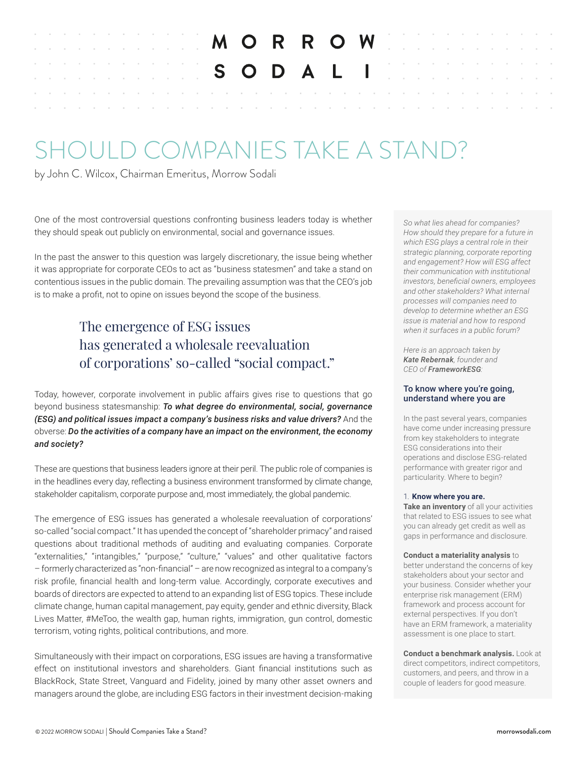|  |  |  |  |  |  |  |  | MORROW BELLE                                |  |  |  |  |  |  |  |  |
|--|--|--|--|--|--|--|--|---------------------------------------------|--|--|--|--|--|--|--|--|
|  |  |  |  |  |  |  |  | <b>EXAMPLE AND ALL INCOMENTAL RESIDENCE</b> |  |  |  |  |  |  |  |  |
|  |  |  |  |  |  |  |  |                                             |  |  |  |  |  |  |  |  |
|  |  |  |  |  |  |  |  |                                             |  |  |  |  |  |  |  |  |
|  |  |  |  |  |  |  |  |                                             |  |  |  |  |  |  |  |  |

# SHOULD COMPANIES TAKE A STAND?

by John C. Wilcox, Chairman Emeritus, Morrow Sodali

One of the most controversial questions confronting business leaders today is whether they should speak out publicly on environmental, social and governance issues.

In the past the answer to this question was largely discretionary, the issue being whether it was appropriate for corporate CEOs to act as "business statesmen" and take a stand on contentious issues in the public domain. The prevailing assumption was that the CEO's job is to make a profit, not to opine on issues beyond the scope of the business.

# The emergence of ESG issues has generated a wholesale reevaluation of corporations' so-called "social compact."

Today, however, corporate involvement in public affairs gives rise to questions that go beyond business statesmanship: *To what degree do environmental, social, governance (ESG) and political issues impact a company's business risks and value drivers?* And the obverse: *Do the activities of a company have an impact on the environment, the economy and society?*

These are questions that business leaders ignore at their peril. The public role of companies is in the headlines every day, reflecting a business environment transformed by climate change, stakeholder capitalism, corporate purpose and, most immediately, the global pandemic.

The emergence of ESG issues has generated a wholesale reevaluation of corporations' so-called "social compact." It has upended the concept of "shareholder primacy" and raised questions about traditional methods of auditing and evaluating companies. Corporate "externalities," "intangibles," "purpose," "culture," "values" and other qualitative factors – formerly characterized as "non-financial" – are now recognized as integral to a company's risk profile, financial health and long-term value. Accordingly, corporate executives and boards of directors are expected to attend to an expanding list of ESG topics. These include climate change, human capital management, pay equity, gender and ethnic diversity, Black Lives Matter, #MeToo, the wealth gap, human rights, immigration, gun control, domestic terrorism, voting rights, political contributions, and more.

Simultaneously with their impact on corporations, ESG issues are having a transformative effect on institutional investors and shareholders. Giant financial institutions such as BlackRock, State Street, Vanguard and Fidelity, joined by many other asset owners and managers around the globe, are including ESG factors in their investment decision-making *So what lies ahead for companies? How should they prepare for a future in which ESG plays a central role in their strategic planning, corporate reporting and engagement? How will ESG affect their communication with institutional investors, beneficial owners, employees and other stakeholders? What internal processes will companies need to develop to determine whether an ESG issue is material and how to respond when it surfaces in a public forum?*

*Here is an approach taken by Kate Rebernak, founder and CEO of FrameworkESG:* 

#### To know where you're going, understand where you are

In the past several years, companies have come under increasing pressure from key stakeholders to integrate ESG considerations into their operations and disclose ESG-related performance with greater rigor and particularity. Where to begin?

#### 1. **Know where you are.**

**Take an inventory** of all your activities that related to ESG issues to see what you can already get credit as well as gaps in performance and disclosure.

#### **Conduct a materiality analysis** to better understand the concerns of key stakeholders about your sector and your business. Consider whether your enterprise risk management (ERM) framework and process account for external perspectives. If you don't have an ERM framework, a materiality assessment is one place to start.

**Conduct a benchmark analysis.** Look at direct competitors, indirect competitors, customers, and peers, and throw in a couple of leaders for good measure.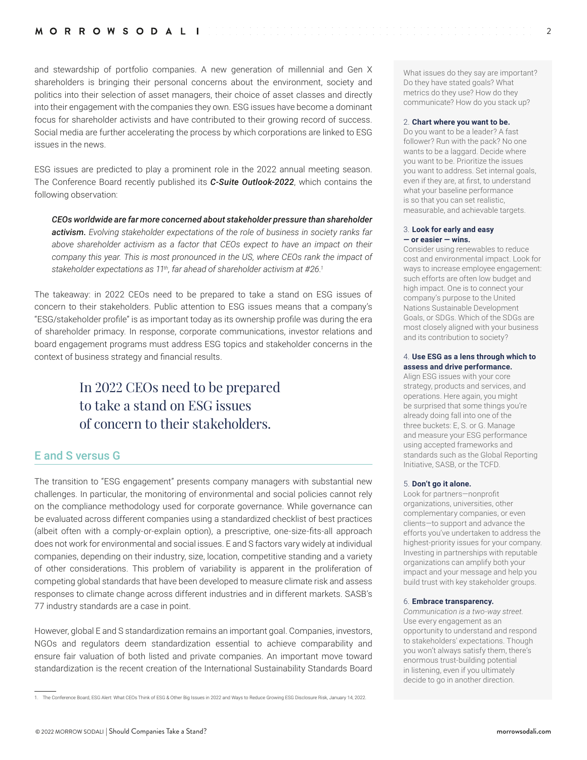and stewardship of portfolio companies. A new generation of millennial and Gen X shareholders is bringing their personal concerns about the environment, society and politics into their selection of asset managers, their choice of asset classes and directly into their engagement with the companies they own. ESG issues have become a dominant focus for shareholder activists and have contributed to their growing record of success. Social media are further accelerating the process by which corporations are linked to ESG issues in the news.

ESG issues are predicted to play a prominent role in the 2022 annual meeting season. The Conference Board recently published its *C-Suite Outlook-2022*, which contains the following observation:

*CEOs worldwide are far more concerned about stakeholder pressure than shareholder activism. Evolving stakeholder expectations of the role of business in society ranks far above shareholder activism as a factor that CEOs expect to have an impact on their company this year. This is most pronounced in the US, where CEOs rank the impact of stakeholder expectations as 11th, far ahead of shareholder activism at #26.1*

The takeaway: in 2022 CEOs need to be prepared to take a stand on ESG issues of concern to their stakeholders. Public attention to ESG issues means that a company's "ESG/stakeholder profile" is as important today as its ownership profile was during the era of shareholder primacy. In response, corporate communications, investor relations and board engagement programs must address ESG topics and stakeholder concerns in the context of business strategy and financial results.

# In 2022 CEOs need to be prepared to take a stand on ESG issues of concern to their stakeholders.

# E and S versus G

The transition to "ESG engagement" presents company managers with substantial new challenges. In particular, the monitoring of environmental and social policies cannot rely on the compliance methodology used for corporate governance. While governance can be evaluated across different companies using a standardized checklist of best practices (albeit often with a comply-or-explain option), a prescriptive, one-size-fits-all approach does not work for environmental and social issues. E and S factors vary widely at individual companies, depending on their industry, size, location, competitive standing and a variety of other considerations. This problem of variability is apparent in the proliferation of competing global standards that have been developed to measure climate risk and assess responses to climate change across different industries and in different markets. SASB's 77 industry standards are a case in point.

However, global E and S standardization remains an important goal. Companies, investors, NGOs and regulators deem standardization essential to achieve comparability and ensure fair valuation of both listed and private companies. An important move toward standardization is the recent creation of the International Sustainability Standards Board What issues do they say are important? Do they have stated goals? What metrics do they use? How do they communicate? How do you stack up?

#### 2. **Chart where you want to be.**

Do you want to be a leader? A fast follower? Run with the pack? No one wants to be a laggard. Decide where you want to be. Prioritize the issues you want to address. Set internal goals, even if they are, at first, to understand what your baseline performance is so that you can set realistic, measurable, and achievable targets.

#### 3. **Look for early and easy — or easier — wins.**

Consider using renewables to reduce cost and environmental impact. Look for ways to increase employee engagement: such efforts are often low budget and high impact. One is to connect your company's purpose to the United Nations Sustainable Development Goals, or SDGs. Which of the SDGs are most closely aligned with your business and its contribution to society?

#### 4. **Use ESG as a lens through which to assess and drive performance.**

Align ESG issues with your core strategy, products and services, and operations. Here again, you might be surprised that some things you're already doing fall into one of the three buckets: E, S. or G. Manage and measure your ESG performance using accepted frameworks and standards such as the Global Reporting Initiative, SASB, or the TCFD.

#### 5. **Don't go it alone.**

Look for partners—nonprofit organizations, universities, other complementary companies, or even clients—to support and advance the efforts you've undertaken to address the highest-priority issues for your company. Investing in partnerships with reputable organizations can amplify both your impact and your message and help you build trust with key stakeholder groups.

#### 6. **Embrace transparency.**

*Communication is a two-way street.* Use every engagement as an opportunity to understand and respond to stakeholders' expectations. Though you won't always satisfy them, there's enormous trust-building potential in listening, even if you ultimately decide to go in another direction.

<sup>1.</sup> The Conference Board, ESG Alert: What CEOs Think of ESG & Other Big Issues in 2022 and Ways to Reduce Growing ESG Disclosure Risk, January 14, 2022.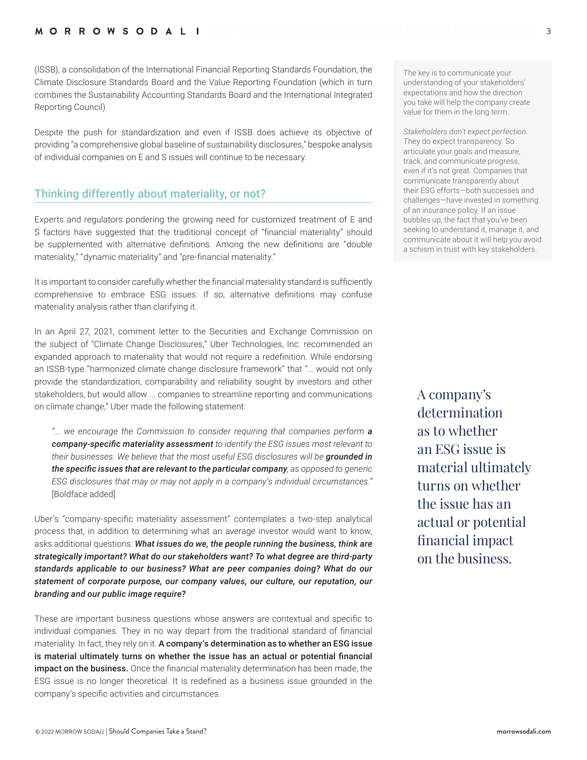(ISSB), a consolidation of the International Financial Reporting Standards Foundation, the Climate Disclosure Standards Board and the Value Reporting Foundation (which in turn combines the Sustainability Accounting Standards Board and the International Integrated Reporting Council).

Despite the push for standardization and even if ISSB does achieve its objective of providing "a comprehensive global baseline of sustainability disclosures," bespoke analysis of individual companies on E and S issues will continue to be necessary.

# Thinking differently about materiality, or not?

Experts and regulators pondering the growing need for customized treatment of E and S factors have suggested that the traditional concept of "financial materiality" should be supplemented with alternative definitions. Among the new definitions are "double materiality," "dynamic materiality" and "pre-financial materiality."

It is important to consider carefully whether the financial materiality standard is sufficiently comprehensive to embrace ESG issues. If so, alternative definitions may confuse materiality analysis rather than clarifying it.

In an April 27, 2021, comment letter to the Securities and Exchange Commission on the subject of "Climate Change Disclosures," Uber Technologies, Inc. recommended an expanded approach to materiality that would not require a redefinition. While endorsing an ISSB-type "harmonized climate change disclosure framework" that "... would not only provide the standardization, comparability and reliability sought by investors and other stakeholders, but would allow ... companies to streamline reporting and communications on climate change," Uber made the following statement:

*"... we encourage the Commission to consider requiring that companies perform a company-specific materiality assessment to identify the ESG issues most relevant to their businesses. We believe that the most useful ESG disclosures will be grounded in the specific issues that are relevant to the particular company, as opposed to generic ESG disclosures that may or may not apply in a company's individual circumstances."*  [Boldface added]

Uber's "company-specific materiality assessment" contemplates a two-step analytical process that, in addition to determining what an average investor would want to know, asks additional questions: *What issues do we, the people running the business, think are strategically important? What do our stakeholders want? To what degree are third-party standards applicable to our business? What are peer companies doing? What do our statement of corporate purpose, our company values, our culture, our reputation, our branding and our public image require?* 

These are important business questions whose answers are contextual and specific to individual companies. They in no way depart from the traditional standard of financial materiality. In fact, they rely on it. A company's determination as to whether an ESG issue is material ultimately turns on whether the issue has an actual or potential financial **impact on the business.** Once the financial materiality determination has been made, the ESG issue is no longer theoretical. It is redefined as a business issue grounded in the company's specific activities and circumstances.

The key is to communicate your understanding of your stakeholders' expectations and how the direction you take will help the company create value for them in the long term.

3

*Stakeholders don't expect perfection.* They do expect transparency. So articulate your goals and measure, track, and communicate progress, even if it's not great. Companies that communicate transparently about their ESG efforts—both successes and challenges—have invested in something of an insurance policy. If an issue bubbles up, the fact that you've been seeking to understand it, manage it, and communicate about it will help you avoid a schism in trust with key stakeholders.

A company's determination as to whether an ESG issue is material ultimately turns on whether the issue has an actual or potential financial impact on the business.